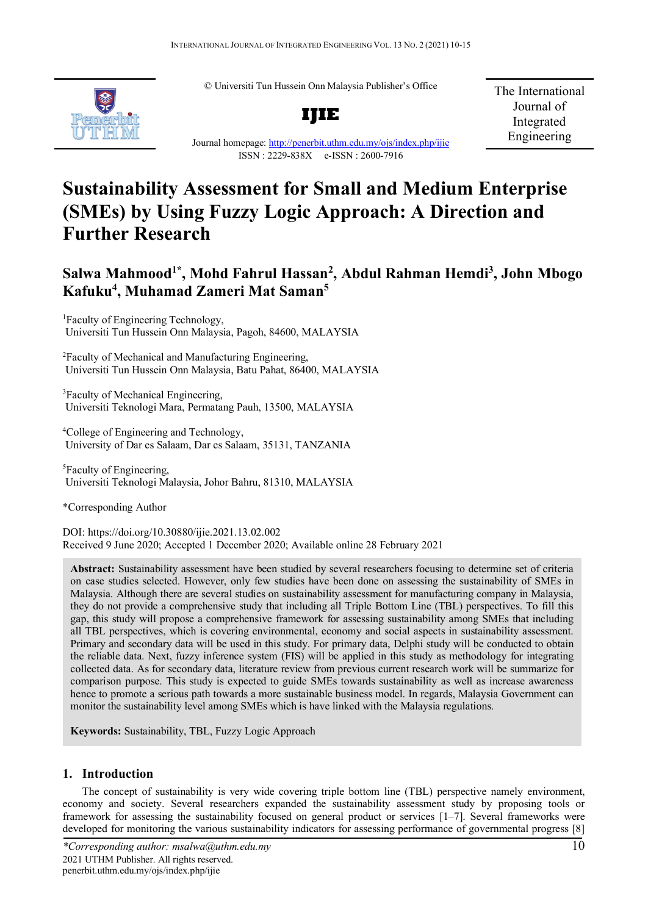© Universiti Tun Hussein Onn Malaysia Publisher's Office



**IJIE**

The International Journal of Integrated Engineering

# Journal homepage:<http://penerbit.uthm.edu.my/ojs/index.php/ijie> ISSN : 2229-838X e-ISSN : 2600-7916

# **Sustainability Assessment for Small and Medium Enterprise (SMEs) by Using Fuzzy Logic Approach: A Direction and Further Research**

# **Salwa Mahmood1\* , Mohd Fahrul Hassan2 , Abdul Rahman Hemdi3 , John Mbogo Kafuku4 , Muhamad Zameri Mat Saman5**

<sup>1</sup>Faculty of Engineering Technology, Universiti Tun Hussein Onn Malaysia, Pagoh, 84600, MALAYSIA

2 Faculty of Mechanical and Manufacturing Engineering, Universiti Tun Hussein Onn Malaysia, Batu Pahat, 86400, MALAYSIA

<sup>3</sup>Faculty of Mechanical Engineering, Universiti Teknologi Mara, Permatang Pauh, 13500, MALAYSIA

4 College of Engineering and Technology, University of Dar es Salaam, Dar es Salaam, 35131, TANZANIA

<sup>5</sup>Faculty of Engineering, Universiti Teknologi Malaysia, Johor Bahru, 81310, MALAYSIA

\*Corresponding Author

DOI: https://doi.org/10.30880/ijie.2021.13.02.002 Received 9 June 2020; Accepted 1 December 2020; Available online 28 February 2021

**Abstract:** Sustainability assessment have been studied by several researchers focusing to determine set of criteria on case studies selected. However, only few studies have been done on assessing the sustainability of SMEs in Malaysia. Although there are several studies on sustainability assessment for manufacturing company in Malaysia, they do not provide a comprehensive study that including all Triple Bottom Line (TBL) perspectives. To fill this gap, this study will propose a comprehensive framework for assessing sustainability among SMEs that including all TBL perspectives, which is covering environmental, economy and social aspects in sustainability assessment. Primary and secondary data will be used in this study. For primary data, Delphi study will be conducted to obtain the reliable data. Next, fuzzy inference system (FIS) will be applied in this study as methodology for integrating collected data. As for secondary data, literature review from previous current research work will be summarize for comparison purpose. This study is expected to guide SMEs towards sustainability as well as increase awareness hence to promote a serious path towards a more sustainable business model. In regards, Malaysia Government can monitor the sustainability level among SMEs which is have linked with the Malaysia regulations.

**Keywords:** Sustainability, TBL, Fuzzy Logic Approach

# **1. Introduction**

The concept of sustainability is very wide covering triple bottom line (TBL) perspective namely environment, economy and society. Several researchers expanded the sustainability assessment study by proposing tools or framework for assessing the sustainability focused on general product or services [1–7]. Several frameworks were developed for monitoring the various sustainability indicators for assessing performance of governmental progress [8]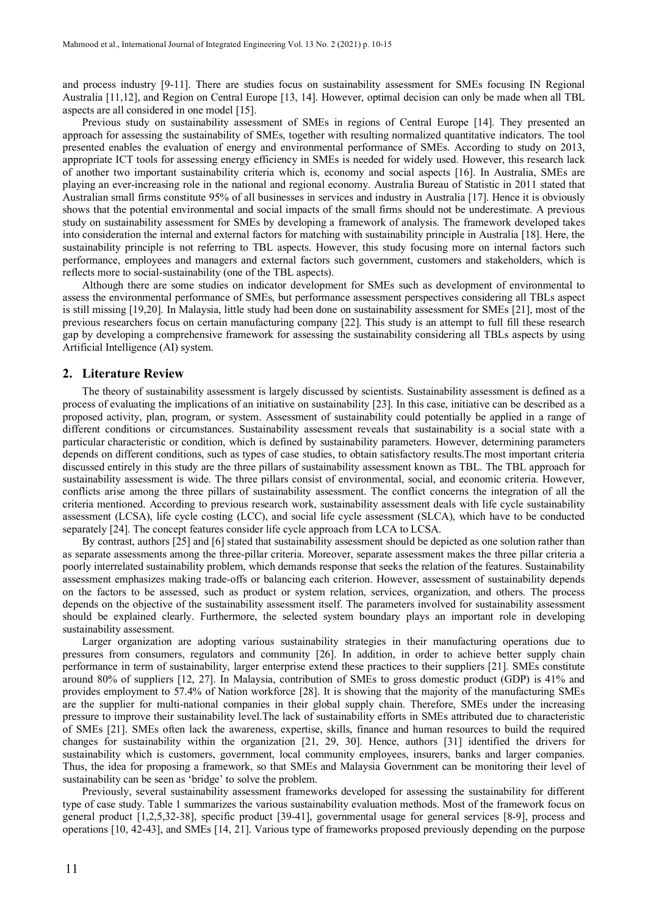and process industry [9-11]. There are studies focus on sustainability assessment for SMEs focusing IN Regional Australia [11,12], and Region on Central Europe [13, 14]. However, optimal decision can only be made when all TBL aspects are all considered in one model [15].

Previous study on sustainability assessment of SMEs in regions of Central Europe [14]. They presented an approach for assessing the sustainability of SMEs, together with resulting normalized quantitative indicators. The tool presented enables the evaluation of energy and environmental performance of SMEs. According to study on 2013, appropriate ICT tools for assessing energy efficiency in SMEs is needed for widely used. However, this research lack of another two important sustainability criteria which is, economy and social aspects [16]. In Australia, SMEs are playing an ever-increasing role in the national and regional economy. Australia Bureau of Statistic in 2011 stated that Australian small firms constitute 95% of all businesses in services and industry in Australia [17]. Hence it is obviously shows that the potential environmental and social impacts of the small firms should not be underestimate. A previous study on sustainability assessment for SMEs by developing a framework of analysis. The framework developed takes into consideration the internal and external factors for matching with sustainability principle in Australia [18]. Here, the sustainability principle is not referring to TBL aspects. However, this study focusing more on internal factors such performance, employees and managers and external factors such government, customers and stakeholders, which is reflects more to social-sustainability (one of the TBL aspects).

Although there are some studies on indicator development for SMEs such as development of environmental to assess the environmental performance of SMEs, but performance assessment perspectives considering all TBLs aspect is still missing [19,20]. In Malaysia, little study had been done on sustainability assessment for SMEs [21], most of the previous researchers focus on certain manufacturing company [22]. This study is an attempt to full fill these research gap by developing a comprehensive framework for assessing the sustainability considering all TBLs aspects by using Artificial Intelligence (AI) system.

#### **2. Literature Review**

The theory of sustainability assessment is largely discussed by scientists. Sustainability assessment is defined as a process of evaluating the implications of an initiative on sustainability [23]. In this case, initiative can be described as a proposed activity, plan, program, or system. Assessment of sustainability could potentially be applied in a range of different conditions or circumstances. Sustainability assessment reveals that sustainability is a social state with a particular characteristic or condition, which is defined by sustainability parameters. However, determining parameters depends on different conditions, such as types of case studies, to obtain satisfactory results.The most important criteria discussed entirely in this study are the three pillars of sustainability assessment known as TBL. The TBL approach for sustainability assessment is wide. The three pillars consist of environmental, social, and economic criteria. However, conflicts arise among the three pillars of sustainability assessment. The conflict concerns the integration of all the criteria mentioned. According to previous research work, sustainability assessment deals with life cycle sustainability assessment (LCSA), life cycle costing (LCC), and social life cycle assessment (SLCA), which have to be conducted separately [24]. The concept features consider life cycle approach from LCA to LCSA.

By contrast, authors [25] and [6] stated that sustainability assessment should be depicted as one solution rather than as separate assessments among the three-pillar criteria. Moreover, separate assessment makes the three pillar criteria a poorly interrelated sustainability problem, which demands response that seeks the relation of the features. Sustainability assessment emphasizes making trade-offs or balancing each criterion. However, assessment of sustainability depends on the factors to be assessed, such as product or system relation, services, organization, and others. The process depends on the objective of the sustainability assessment itself. The parameters involved for sustainability assessment should be explained clearly. Furthermore, the selected system boundary plays an important role in developing sustainability assessment.

Larger organization are adopting various sustainability strategies in their manufacturing operations due to pressures from consumers, regulators and community [26]. In addition, in order to achieve better supply chain performance in term of sustainability, larger enterprise extend these practices to their suppliers [21]. SMEs constitute around 80% of suppliers [12, 27]. In Malaysia, contribution of SMEs to gross domestic product (GDP) is 41% and provides employment to 57.4% of Nation workforce [28]. It is showing that the majority of the manufacturing SMEs are the supplier for multi-national companies in their global supply chain. Therefore, SMEs under the increasing pressure to improve their sustainability level.The lack of sustainability efforts in SMEs attributed due to characteristic of SMEs [21]. SMEs often lack the awareness, expertise, skills, finance and human resources to build the required changes for sustainability within the organization [21, 29, 30]. Hence, authors [31] identified the drivers for sustainability which is customers, government, local community employees, insurers, banks and larger companies. Thus, the idea for proposing a framework, so that SMEs and Malaysia Government can be monitoring their level of sustainability can be seen as 'bridge' to solve the problem.

Previously, several sustainability assessment frameworks developed for assessing the sustainability for different type of case study. Table 1 summarizes the various sustainability evaluation methods. Most of the framework focus on general product [1,2,5,32-38], specific product [39-41], governmental usage for general services [8-9], process and operations [10, 42-43], and SMEs [14, 21]. Various type of frameworks proposed previously depending on the purpose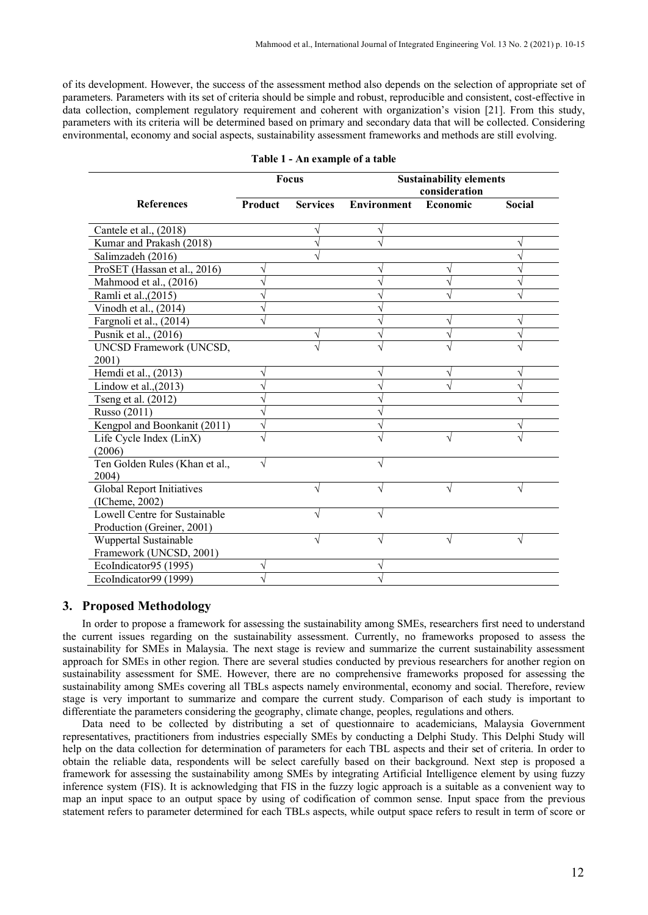of its development. However, the success of the assessment method also depends on the selection of appropriate set of parameters. Parameters with its set of criteria should be simple and robust, reproducible and consistent, cost-effective in data collection, complement regulatory requirement and coherent with organization's vision [21]. From this study, parameters with its criteria will be determined based on primary and secondary data that will be collected. Considering environmental, economy and social aspects, sustainability assessment frameworks and methods are still evolving.

|                                         | Focus   |                 | <b>Sustainability elements</b><br>consideration |          |               |
|-----------------------------------------|---------|-----------------|-------------------------------------------------|----------|---------------|
| <b>References</b>                       | Product | <b>Services</b> | <b>Environment</b>                              | Economic | <b>Social</b> |
| Cantele et al., (2018)                  |         |                 |                                                 |          |               |
| Kumar and Prakash (2018)                |         |                 |                                                 |          |               |
| Salimzadeh (2016)                       |         |                 |                                                 |          |               |
| ProSET (Hassan et al., 2016)            |         |                 |                                                 |          |               |
| Mahmood et al., (2016)                  |         |                 |                                                 |          |               |
| Ramli et al., (2015)                    |         |                 |                                                 |          |               |
| Vinodh et al., $(2014)$                 |         |                 |                                                 |          |               |
| Fargnoli et al., (2014)                 |         |                 |                                                 |          |               |
| Pusnik et al., (2016)                   |         |                 |                                                 |          |               |
| UNCSD Framework (UNCSD,                 |         |                 |                                                 |          |               |
| 2001)                                   |         |                 |                                                 |          |               |
| Hemdi et al., (2013)                    | V       |                 | V                                               |          | V             |
| Lindow et al., $(2013)$                 |         |                 |                                                 |          |               |
| Tseng et al. (2012)                     |         |                 |                                                 |          |               |
| Russo (2011)                            |         |                 |                                                 |          |               |
| Kengpol and Boonkanit (2011)            |         |                 |                                                 |          |               |
| Life Cycle Index (LinX)                 |         |                 |                                                 |          |               |
| (2006)                                  |         |                 |                                                 |          |               |
| Ten Golden Rules (Khan et al.,<br>2004) | N       |                 |                                                 |          |               |
| <b>Global Report Initiatives</b>        |         | V               | V                                               |          | V             |
| $($ ICheme, 2002 $)$                    |         |                 |                                                 |          |               |
| Lowell Centre for Sustainable           |         |                 |                                                 |          |               |
| Production (Greiner, 2001)              |         |                 |                                                 |          |               |
| Wuppertal Sustainable                   |         |                 |                                                 |          |               |
| Framework (UNCSD, 2001)                 |         |                 |                                                 |          |               |
| EcoIndicator95 (1995)                   |         |                 |                                                 |          |               |
| EcoIndicator99 (1999)                   |         |                 |                                                 |          |               |

### **Table 1 - An example of a table**

# **3. Proposed Methodology**

In order to propose a framework for assessing the sustainability among SMEs, researchers first need to understand the current issues regarding on the sustainability assessment. Currently, no frameworks proposed to assess the sustainability for SMEs in Malaysia. The next stage is review and summarize the current sustainability assessment approach for SMEs in other region. There are several studies conducted by previous researchers for another region on sustainability assessment for SME. However, there are no comprehensive frameworks proposed for assessing the sustainability among SMEs covering all TBLs aspects namely environmental, economy and social. Therefore, review stage is very important to summarize and compare the current study. Comparison of each study is important to differentiate the parameters considering the geography, climate change, peoples, regulations and others.

Data need to be collected by distributing a set of questionnaire to academicians, Malaysia Government representatives, practitioners from industries especially SMEs by conducting a Delphi Study. This Delphi Study will help on the data collection for determination of parameters for each TBL aspects and their set of criteria. In order to obtain the reliable data, respondents will be select carefully based on their background. Next step is proposed a framework for assessing the sustainability among SMEs by integrating Artificial Intelligence element by using fuzzy inference system (FIS). It is acknowledging that FIS in the fuzzy logic approach is a suitable as a convenient way to map an input space to an output space by using of codification of common sense. Input space from the previous statement refers to parameter determined for each TBLs aspects, while output space refers to result in term of score or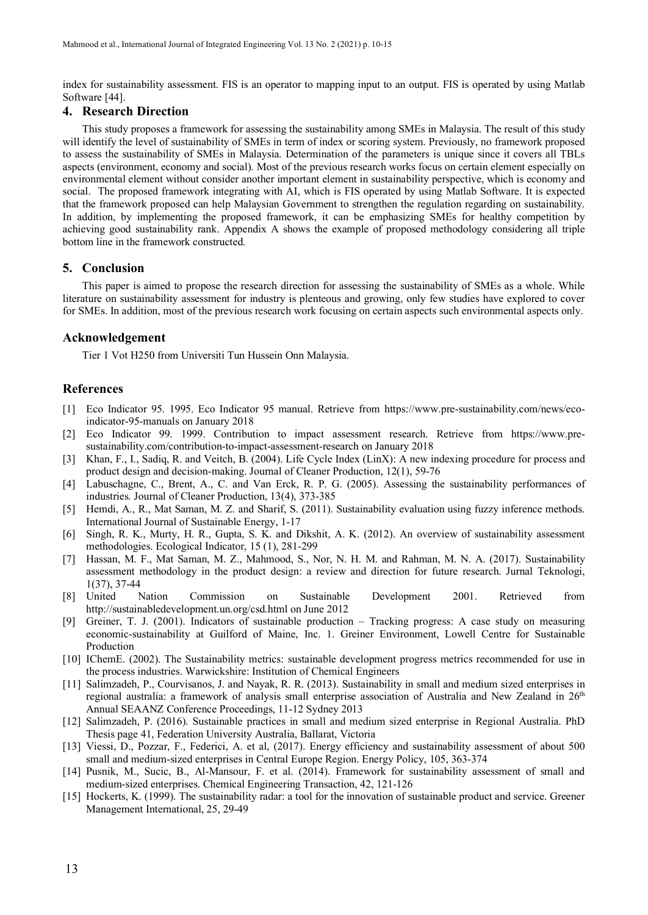index for sustainability assessment. FIS is an operator to mapping input to an output. FIS is operated by using Matlab Software [44].

### **4. Research Direction**

This study proposes a framework for assessing the sustainability among SMEs in Malaysia. The result of this study will identify the level of sustainability of SMEs in term of index or scoring system. Previously, no framework proposed to assess the sustainability of SMEs in Malaysia. Determination of the parameters is unique since it covers all TBLs aspects (environment, economy and social). Most of the previous research works focus on certain element especially on environmental element without consider another important element in sustainability perspective, which is economy and social. The proposed framework integrating with AI, which is FIS operated by using Matlab Software. It is expected that the framework proposed can help Malaysian Government to strengthen the regulation regarding on sustainability. In addition, by implementing the proposed framework, it can be emphasizing SMEs for healthy competition by achieving good sustainability rank. Appendix A shows the example of proposed methodology considering all triple bottom line in the framework constructed.

### **5. Conclusion**

This paper is aimed to propose the research direction for assessing the sustainability of SMEs as a whole. While literature on sustainability assessment for industry is plenteous and growing, only few studies have explored to cover for SMEs. In addition, most of the previous research work focusing on certain aspects such environmental aspects only.

# **Acknowledgement**

Tier 1 Vot H250 from Universiti Tun Hussein Onn Malaysia.

# **References**

- [1] Eco Indicator 95. 1995. Eco Indicator 95 manual. Retrieve from https://www.pre-sustainability.com/news/ecoindicator-95-manuals on January 2018
- [2] Eco Indicator 99. 1999. Contribution to impact assessment research. Retrieve from https://www.presustainability.com/contribution-to-impact-assessment-research on January 2018
- [3] Khan, F., I., Sadiq, R. and Veitch, B. (2004). Life Cycle Index (LinX): A new indexing procedure for process and product design and decision-making. Journal of Cleaner Production, 12(1), 59-76
- [4] Labuschagne, C., Brent, A., C. and Van Erck, R. P. G. (2005). Assessing the sustainability performances of industries. Journal of Cleaner Production, 13(4), 373-385
- [5] Hemdi, A., R., Mat Saman, M. Z. and Sharif, S. (2011). Sustainability evaluation using fuzzy inference methods. International Journal of Sustainable Energy, 1-17
- [6] Singh, R. K., Murty, H. R., Gupta, S. K. and Dikshit, A. K. (2012). An overview of sustainability assessment methodologies. Ecological Indicator, 15 (1), 281-299
- [7] Hassan, M. F., Mat Saman, M. Z., Mahmood, S., Nor, N. H. M. and Rahman, M. N. A. (2017). Sustainability assessment methodology in the product design: a review and direction for future research. Jurnal Teknologi, 1(37), 37-44
- [8] United Nation Commission on Sustainable Development 2001. Retrieved from [http://sustainabledevelopment.un.org/csd.html on June 2012](http://sustainabledevelopment.un.org/csd.html%20on%20June%202012)
- [9] Greiner, T. J. (2001). Indicators of sustainable production Tracking progress: A case study on measuring economic-sustainability at Guilford of Maine, Inc. 1. Greiner Environment, Lowell Centre for Sustainable Production
- [10] IChemE. (2002). The Sustainability metrics: sustainable development progress metrics recommended for use in the process industries. Warwickshire: Institution of Chemical Engineers
- [11] Salimzadeh, P., Courvisanos, J. and Nayak, R. R. (2013). Sustainability in small and medium sized enterprises in regional australia: a framework of analysis small enterprise association of Australia and New Zealand in 26th Annual SEAANZ Conference Proceedings, 11-12 Sydney 2013
- [12] Salimzadeh, P. (2016). Sustainable practices in small and medium sized enterprise in Regional Australia. PhD Thesis page 41, Federation University Australia, Ballarat, Victoria
- [13] Viessi, D., Pozzar, F., Federici, A. et al, (2017). Energy efficiency and sustainability assessment of about 500 small and medium-sized enterprises in Central Europe Region. Energy Policy, 105, 363-374
- [14] Pusnik, M., Sucic, B., Al-Mansour, F. et al. (2014). Framework for sustainability assessment of small and medium-sized enterprises. Chemical Engineering Transaction, 42, 121-126
- [15] Hockerts, K. (1999). The sustainability radar: a tool for the innovation of sustainable product and service. Greener Management International, 25, 29-49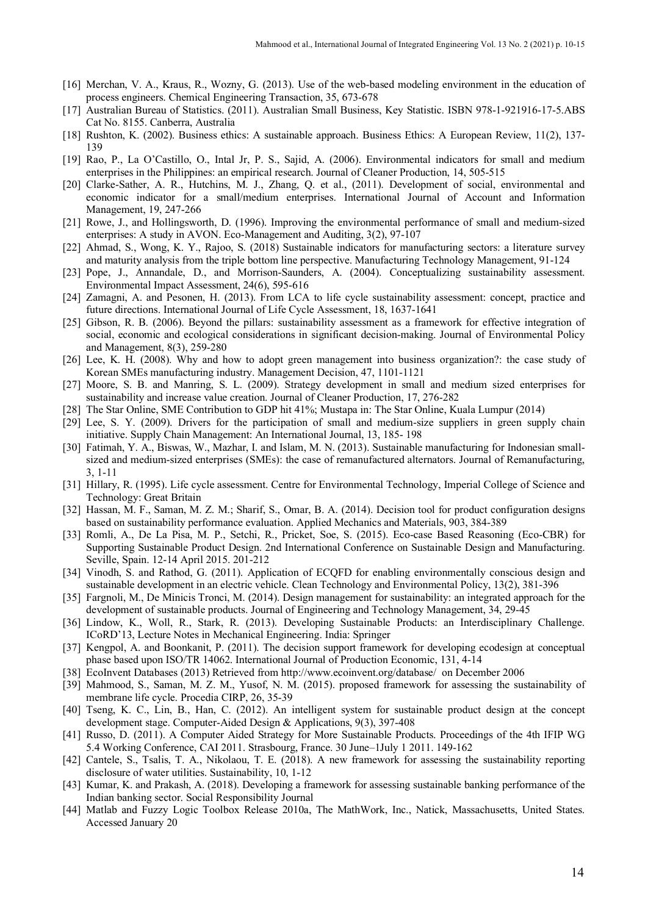- [16] Merchan, V. A., Kraus, R., Wozny, G. (2013). Use of the web-based modeling environment in the education of process engineers. Chemical Engineering Transaction, 35, 673-678
- [17] Australian Bureau of Statistics. (2011). Australian Small Business, Key Statistic. ISBN 978-1-921916-17-5.ABS Cat No. 8155. Canberra, Australia
- [18] Rushton, K. (2002). Business ethics: A sustainable approach. Business Ethics: A European Review, 11(2), 137- 139
- [19] Rao, P., La O'Castillo, O., Intal Jr, P. S., Sajid, A. (2006). Environmental indicators for small and medium enterprises in the Philippines: an empirical research. Journal of Cleaner Production, 14, 505-515
- [20] Clarke-Sather, A. R., Hutchins, M. J., Zhang, Q. et al., (2011). Development of social, environmental and economic indicator for a small/medium enterprises. International Journal of Account and Information Management, 19, 247-266
- [21] Rowe, J., and Hollingsworth, D. (1996). Improving the environmental performance of small and medium-sized enterprises: A study in AVON. Eco-Management and Auditing, 3(2), 97-107
- [22] Ahmad, S., Wong, K. Y., Rajoo, S. (2018) Sustainable indicators for manufacturing sectors: a literature survey and maturity analysis from the triple bottom line perspective. Manufacturing Technology Management, 91-124
- [23] Pope, J., Annandale, D., and Morrison-Saunders, A. (2004). Conceptualizing sustainability assessment. Environmental Impact Assessment, 24(6), 595-616
- [24] Zamagni, A. and Pesonen, H. (2013). From LCA to life cycle sustainability assessment: concept, practice and future directions. International Journal of Life Cycle Assessment, 18, 1637-1641
- [25] Gibson, R. B. (2006). Beyond the pillars: sustainability assessment as a framework for effective integration of social, economic and ecological considerations in significant decision-making. Journal of Environmental Policy and Management, 8(3), 259-280
- [26] Lee, K. H. (2008). Why and how to adopt green management into business organization?: the case study of Korean SMEs manufacturing industry. Management Decision, 47, 1101-1121
- [27] Moore, S. B. and Manring, S. L. (2009). Strategy development in small and medium sized enterprises for sustainability and increase value creation. Journal of Cleaner Production, 17, 276-282
- [28] The Star Online, SME Contribution to GDP hit 41%; Mustapa in: The Star Online, Kuala Lumpur (2014)
- [29] Lee, S. Y. (2009). Drivers for the participation of small and medium-size suppliers in green supply chain initiative. Supply Chain Management: An International Journal, 13, 185- 198
- [30] Fatimah, Y. A., Biswas, W., Mazhar, I. and Islam, M. N. (2013). Sustainable manufacturing for Indonesian smallsized and medium-sized enterprises (SMEs): the case of remanufactured alternators. Journal of Remanufacturing, 3, 1-11
- [31] Hillary, R. (1995). Life cycle assessment. Centre for Environmental Technology, Imperial College of Science and Technology: Great Britain
- [32] Hassan, M. F., Saman, M. Z. M.; Sharif, S., Omar, B. A. (2014). Decision tool for product configuration designs based on sustainability performance evaluation. Applied Mechanics and Materials, 903, 384-389
- [33] Romli, A., De La Pisa, M. P., Setchi, R., Pricket, Soe, S. (2015). Eco-case Based Reasoning (Eco-CBR) for Supporting Sustainable Product Design. 2nd International Conference on Sustainable Design and Manufacturing. Seville, Spain. 12-14 April 2015. 201-212
- [34] Vinodh, S. and Rathod, G. (2011). Application of ECQFD for enabling environmentally conscious design and sustainable development in an electric vehicle. Clean Technology and Environmental Policy, 13(2), 381-396
- [35] Fargnoli, M., De Minicis Tronci, M. (2014). Design management for sustainability: an integrated approach for the development of sustainable products. Journal of Engineering and Technology Management, 34, 29-45
- [36] Lindow, K., Woll, R., Stark, R. (2013). Developing Sustainable Products: an Interdisciplinary Challenge. ICoRD'13, Lecture Notes in Mechanical Engineering. India: Springer
- [37] Kengpol, A. and Boonkanit, P. (2011). The decision support framework for developing ecodesign at conceptual phase based upon ISO/TR 14062. International Journal of Production Economic, 131, 4-14
- [38] EcoInvent Databases (2013) Retrieved fro[m http://www.ecoinvent.org/database/](http://www.ecoinvent.org/database/) on December 2006
- [39] Mahmood, S., Saman, M. Z. M., Yusof, N. M. (2015). proposed framework for assessing the sustainability of membrane life cycle. Procedia CIRP, 26, 35-39
- [40] Tseng, K. C., Lin, B., Han, C. (2012). An intelligent system for sustainable product design at the concept development stage. Computer-Aided Design & Applications, 9(3), 397-408
- [41] Russo, D. (2011). A Computer Aided Strategy for More Sustainable Products. Proceedings of the 4th IFIP WG 5.4 Working Conference, CAI 2011. Strasbourg, France. 30 June–1July 1 2011. 149-162
- [42] Cantele, S., Tsalis, T. A., Nikolaou, T. E. (2018). A new framework for assessing the sustainability reporting disclosure of water utilities. Sustainability, 10, 1-12
- [43] Kumar, K. and Prakash, A. (2018). Developing a framework for assessing sustainable banking performance of the Indian banking sector. Social Responsibility Journal
- [44] Matlab and Fuzzy Logic Toolbox Release 2010a, The MathWork, Inc., Natick, Massachusetts, United States. Accessed January 20